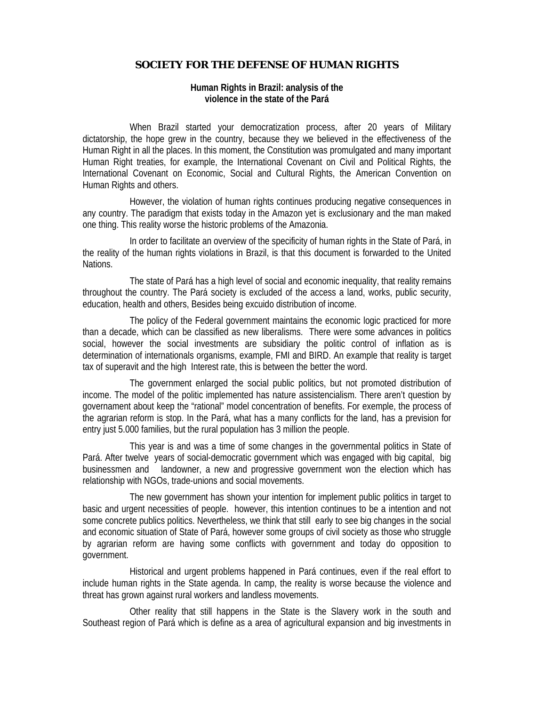## **SOCIETY FOR THE DEFENSE OF HUMAN RIGHTS**

## **Human Rights in Brazil: analysis of the violence in the state of the Pará**

When Brazil started your democratization process, after 20 years of Military dictatorship, the hope grew in the country, because they we believed in the effectiveness of the Human Right in all the places. In this moment, the Constitution was promulgated and many important Human Right treaties, for example, the International Covenant on Civil and Political Rights, the International Covenant on Economic, Social and Cultural Rights, the American Convention on Human Rights and others.

However, the violation of human rights continues producing negative consequences in any country. The paradigm that exists today in the Amazon yet is exclusionary and the man maked one thing. This reality worse the historic problems of the Amazonia.

In order to facilitate an overview of the specificity of human rights in the State of Pará, in the reality of the human rights violations in Brazil, is that this document is forwarded to the United Nations.

The state of Pará has a high level of social and economic inequality, that reality remains throughout the country. The Pará society is excluded of the access a land, works, public security, education, health and others, Besides being excuido distribution of income.

The policy of the Federal government maintains the economic logic practiced for more than a decade, which can be classified as new liberalisms. There were some advances in politics social, however the social investments are subsidiary the politic control of inflation as is determination of internationals organisms, example, FMI and BIRD. An example that reality is target tax of superavit and the high Interest rate, this is between the better the word.

The government enlarged the social public politics, but not promoted distribution of income. The model of the politic implemented has nature assistencialism. There aren't question by governament about keep the "rational" model concentration of benefits. For exemple, the process of the agrarian reform is stop. In the Pará, what has a many conflicts for the land, has a prevision for entry just 5.000 families, but the rural population has 3 million the people.

This year is and was a time of some changes in the governmental politics in State of Pará. After twelve years of social-democratic government which was engaged with big capital, big businessmen and landowner, a new and progressive government won the election which has relationship with NGOs, trade-unions and social movements.

The new government has shown your intention for implement public politics in target to basic and urgent necessities of people. however, this intention continues to be a intention and not some concrete publics politics. Nevertheless, we think that still early to see big changes in the social and economic situation of State of Pará, however some groups of civil society as those who struggle by agrarian reform are having some conflicts with government and today do opposition to government.

Historical and urgent problems happened in Pará continues, even if the real effort to include human rights in the State agenda. In camp, the reality is worse because the violence and threat has grown against rural workers and landless movements.

Other reality that still happens in the State is the Slavery work in the south and Southeast region of Pará which is define as a area of agricultural expansion and big investments in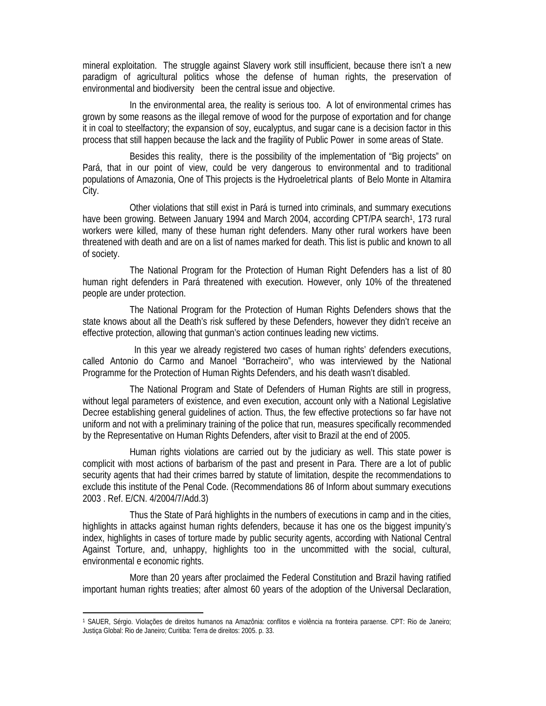mineral exploitation. The struggle against Slavery work still insufficient, because there isn't a new paradigm of agricultural politics whose the defense of human rights, the preservation of environmental and biodiversity been the central issue and objective.

In the environmental area, the reality is serious too. A lot of environmental crimes has grown by some reasons as the illegal remove of wood for the purpose of exportation and for change it in coal to steelfactory; the expansion of soy, eucalyptus, and sugar cane is a decision factor in this process that still happen because the lack and the fragility of Public Power in some areas of State.

Besides this reality, there is the possibility of the implementation of "Big projects" on Pará, that in our point of view, could be very dangerous to environmental and to traditional populations of Amazonia, One of This projects is the Hydroeletrical plants of Belo Monte in Altamira City.

Other violations that still exist in Pará is turned into criminals, and summary executions have been growing. Between January 1994 and March 2004, according CPT/PA search<sup>1</sup>, 173 rural workers were killed, many of these human right defenders. Many other rural workers have been threatened with death and are on a list of names marked for death. This list is public and known to all of society.

The National Program for the Protection of Human Right Defenders has a list of 80 human right defenders in Pará threatened with execution. However, only 10% of the threatened people are under protection.

The National Program for the Protection of Human Rights Defenders shows that the state knows about all the Death's risk suffered by these Defenders, however they didn't receive an effective protection, allowing that gunman's action continues leading new victims.

 In this year we already registered two cases of human rights' defenders executions, called Antonio do Carmo and Manoel "Borracheiro", who was interviewed by the National Programme for the Protection of Human Rights Defenders, and his death wasn't disabled.

The National Program and State of Defenders of Human Rights are still in progress, without legal parameters of existence, and even execution, account only with a National Legislative Decree establishing general guidelines of action. Thus, the few effective protections so far have not uniform and not with a preliminary training of the police that run, measures specifically recommended by the Representative on Human Rights Defenders, after visit to Brazil at the end of 2005.

Human rights violations are carried out by the judiciary as well. This state power is complicit with most actions of barbarism of the past and present in Para. There are a lot of public security agents that had their crimes barred by statute of limitation, despite the recommendations to exclude this institute of the Penal Code. (Recommendations 86 of Inform about summary executions 2003 . Ref. E/CN. 4/2004/7/Add.3)

Thus the State of Pará highlights in the numbers of executions in camp and in the cities, highlights in attacks against human rights defenders, because it has one os the biggest impunity's index, highlights in cases of torture made by public security agents, according with National Central Against Torture, and, unhappy, highlights too in the uncommitted with the social, cultural, environmental e economic rights.

More than 20 years after proclaimed the Federal Constitution and Brazil having ratified important human rights treaties; after almost 60 years of the adoption of the Universal Declaration,

 $\overline{a}$ 

<sup>1</sup> SAUER, Sérgio. Violações de direitos humanos na Amazônia: conflitos e violência na fronteira paraense. CPT: Rio de Janeiro; Justiça Global: Rio de Janeiro; Curitiba: Terra de direitos: 2005. p. 33.